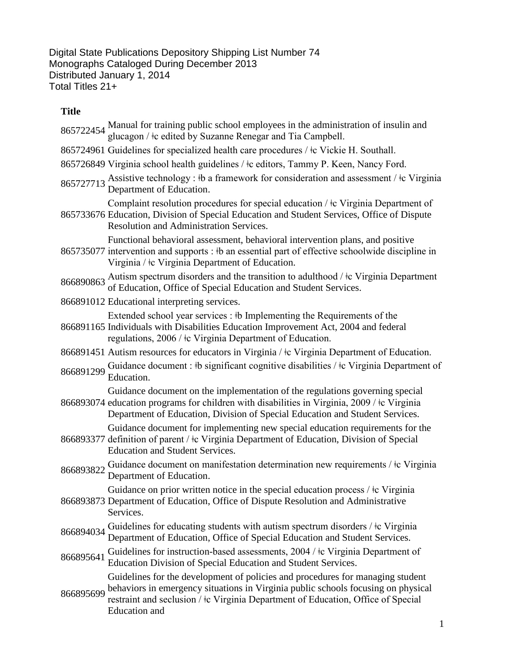Digital State Publications Depository Shipping List Number 74 Monographs Cataloged During December 2013 Distributed January 1, 2014 Total Titles 21+

## **Title**

- 865722454 Manual for training public school employees in the administration of insulin and glucagon / ‡c edited by Suzanne Renegar and Tia Campbell.
- 865724961 Guidelines for specialized health care procedures /  $\pm c$  Vickie H. Southall.
- 865726849 Virginia school health guidelines / ǂc editors, Tammy P. Keen, Nancy Ford.
- 865727713 Assistive technology : ‡b a framework for consideration and assessment / ‡c Virginia<br>Department of Education.

Complaint resolution procedures for special education / ǂc Virginia Department of

865733676 Education, Division of Special Education and Student Services, Office of Dispute Resolution and Administration Services.

Functional behavioral assessment, behavioral intervention plans, and positive

865735077 intervention and supports : ‡b an essential part of effective schoolwide discipline in Virginia / ǂc Virginia Department of Education.

866890863 Autism spectrum disorders and the transition to adulthood /  $\pm c$  Virginia Department of Education, Office of Special Education and Student Services.

866891012 Educational interpreting services.

Extended school year services : ǂb Implementing the Requirements of the

866891165 Individuals with Disabilities Education Improvement Act, 2004 and federal regulations, 2006 / ǂc Virginia Department of Education.

866891451 Autism resources for educators in Virginia /  $\pm$ c Virginia Department of Education.

866891299 Guidance document : ‡b significant cognitive disabilities / ‡c Virginia Department of Education.

866893074 education programs for children with disabilities in Virginia, 2009 / ǂc Virginia Guidance document on the implementation of the regulations governing special

- Department of Education, Division of Special Education and Student Services. Guidance document for implementing new special education requirements for the
- 866893377 definition of parent / ǂc Virginia Department of Education, Division of Special Education and Student Services.
- 866893822 Guidance document on manifestation determination new requirements /  $\pm c$  Virginia Department of Education.

Guidance on prior written notice in the special education process /  $\pm c$  Virginia

- 866893873 Department of Education, Office of Dispute Resolution and Administrative Services.
- 866894034 Guidelines for educating students with autism spectrum disorders /  $\frac{1}{2}$ c Virginia Department of Education, Office of Special Education and Student Services.

<sup>866895641</sup> Guidelines for instruction-based assessments, 2004 / ǂc Virginia Department of Education Division of Special Education and Student Services.

Guidelines for the development of policies and procedures for managing student

866895699 behaviors in emergency situations in Virginia public schools focusing on physical<br>866895699 restraint and scalusion (to Virginia Department of Education Office of Special restraint and seclusion / ǂc Virginia Department of Education, Office of Special Education and